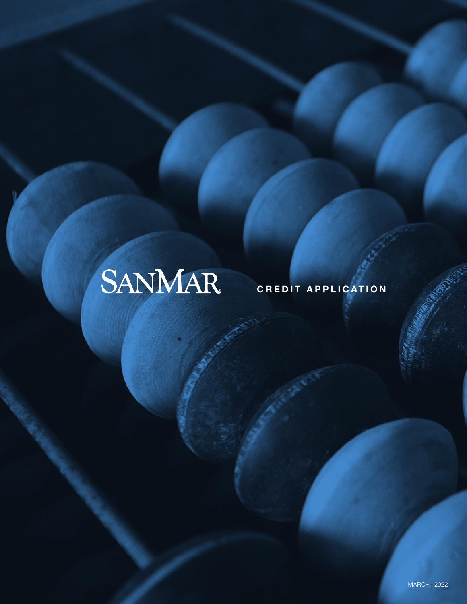# SANMAR

### CREDIT APPLICATION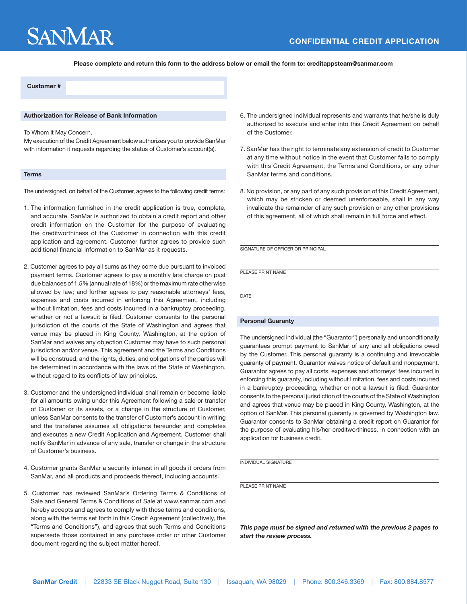## **SANMAR**

Please complete and return this form to the address below or email the form to: creditappsteam@sanmar.com

### Customer #

#### Authorization for Release of Bank Information

To Whom It May Concern,

My execution of the Credit Agreement below authorizes you to provide SanMar with information it requests regarding the status of Customer's account(s).

#### **Terms**

The undersigned, on behalf of the Customer, agrees to the following credit terms:

- 1. The information furnished in the credit application is true, complete, and accurate. SanMar is authorized to obtain a credit report and other credit information on the Customer for the purpose of evaluating the creditworthiness of the Customer in connection with this credit application and agreement. Customer further agrees to provide such additional financial information to SanMar as it requests.
- 2. Customer agrees to pay all sums as they come due pursuant to invoiced payment terms. Customer agrees to pay a monthly late charge on past due balances of 1.5% (annual rate of 18%) or the maximum rate otherwise allowed by law; and further agrees to pay reasonable attorneys' fees, expenses and costs incurred in enforcing this Agreement, including without limitation, fees and costs incurred in a bankruptcy proceeding, whether or not a lawsuit is filed. Customer consents to the personal jurisdiction of the courts of the State of Washington and agrees that venue may be placed in King County, Washington, at the option of SanMar and waives any objection Customer may have to such personal jurisdiction and/or venue. This agreement and the Terms and Conditions will be construed, and the rights, duties, and obligations of the parties will be determined in accordance with the laws of the State of Washington, without regard to its conflicts of law principles.
- 3. Customer and the undersigned individual shall remain or become liable for all amounts owing under this Agreement following a sale or transfer of Customer or its assets, or a change in the structure of Customer, unless SanMar consents to the transfer of Customer's account in writing and the transferee assumes all obligations hereunder and completes and executes a new Credit Application and Agreement. Customer shall notify SanMar in advance of any sale, transfer or change in the structure of Customer's business.
- 4. Customer grants SanMar a security interest in all goods it orders from SanMar, and all products and proceeds thereof, including accounts.
- 5. Customer has reviewed SanMar's Ordering Terms & Conditions of Sale and General Terms & Conditions of Sale at www.sanmar.com and hereby accepts and agrees to comply with those terms and conditions, along with the terms set forth in this Credit Agreement (collectively, the "Terms and Conditions"), and agrees that such Terms and Conditions supersede those contained in any purchase order or other Customer document regarding the subject matter hereof.
- 6. The undersigned individual represents and warrants that he/she is duly authorized to execute and enter into this Credit Agreement on behalf of the Customer.
- 7. SanMar has the right to terminate any extension of credit to Customer at any time without notice in the event that Customer fails to comply with this Credit Agreement, the Terms and Conditions, or any other SanMar terms and conditions.
- 8. No provision, or any part of any such provision of this Credit Agreement, which may be stricken or deemed unenforceable, shall in any way invalidate the remainder of any such provision or any other provisions of this agreement, all of which shall remain in full force and effect.

SIGNATURE OF OFFICER OR PRINCIPAL

PLEASE PRINT NAME

**DATE** 

#### Personal Guaranty

The undersigned individual (the "Guarantor") personally and unconditionally guarantees prompt payment to SanMar of any and all obligations owed by the Customer. This personal guaranty is a continuing and irrevocable guaranty of payment. Guarantor waives notice of default and nonpayment. Guarantor agrees to pay all costs, expenses and attorneys' fees incurred in enforcing this guaranty, including without limitation, fees and costs incurred in a bankruptcy proceeding, whether or not a lawsuit is filed. Guarantor consents to the personal jurisdiction of the courts of the State of Washington and agrees that venue may be placed in King County, Washington, at the option of SanMar. This personal guaranty is governed by Washington law. Guarantor consents to SanMar obtaining a credit report on Guarantor for the purpose of evaluating his/her creditworthiness, in connection with an application for business credit.

INDIVIDUAL SIGNATURE

PLEASE PRINT NAME

*This page must be signed and returned with the previous 2 pages to start the review process.*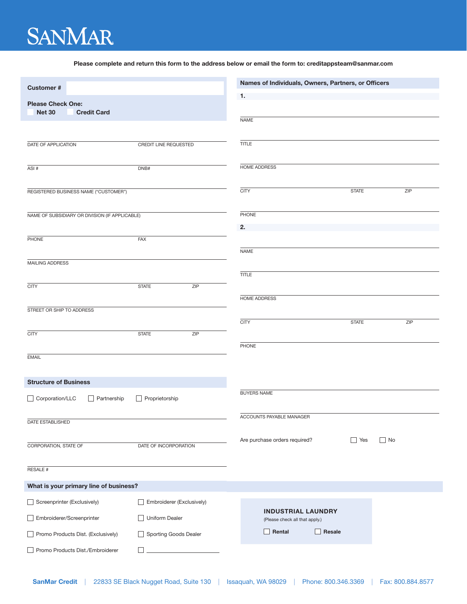## **SANMAR**

Please complete and return this form to the address below or email the form to: creditappsteam@sanmar.com

| <b>Customer#</b>                                                |                           |     | Names of Individuals, Owners, Partners, or Officers         |              |                   |  |
|-----------------------------------------------------------------|---------------------------|-----|-------------------------------------------------------------|--------------|-------------------|--|
| <b>Please Check One:</b><br><b>Net 30</b><br><b>Credit Card</b> |                           |     | 1.                                                          |              |                   |  |
|                                                                 |                           |     | <b>NAME</b>                                                 |              |                   |  |
|                                                                 |                           |     |                                                             |              |                   |  |
| DATE OF APPLICATION                                             | CREDIT LINE REQUESTED     |     | <b>TITLE</b>                                                |              |                   |  |
|                                                                 |                           |     |                                                             |              |                   |  |
| ASI#                                                            | DNB#                      |     | HOME ADDRESS                                                |              |                   |  |
|                                                                 |                           |     |                                                             |              |                   |  |
| REGISTERED BUSINESS NAME ("CUSTOMER")                           |                           |     | <b>CITY</b>                                                 | <b>STATE</b> | ZIP               |  |
|                                                                 |                           |     |                                                             |              |                   |  |
| NAME OF SUBSIDIARY OR DIVISION (IF APPLICABLE)                  |                           |     | PHONE                                                       |              |                   |  |
|                                                                 |                           |     | 2.                                                          |              |                   |  |
| PHONE                                                           | <b>FAX</b>                |     | <b>NAME</b>                                                 |              |                   |  |
| MAILING ADDRESS                                                 |                           |     |                                                             |              |                   |  |
|                                                                 |                           |     | <b>TITLE</b>                                                |              |                   |  |
| <b>CITY</b>                                                     | <b>STATE</b>              | ZIP |                                                             |              |                   |  |
|                                                                 |                           |     | HOME ADDRESS                                                |              |                   |  |
| STREET OR SHIP TO ADDRESS                                       |                           |     |                                                             |              |                   |  |
|                                                                 |                           |     | <b>CITY</b>                                                 | <b>STATE</b> | ZIP               |  |
| <b>CITY</b>                                                     | <b>STATE</b>              | ZIP |                                                             |              |                   |  |
|                                                                 |                           |     | PHONE                                                       |              |                   |  |
| <b>EMAIL</b>                                                    |                           |     |                                                             |              |                   |  |
|                                                                 |                           |     |                                                             |              |                   |  |
| <b>Structure of Business</b>                                    |                           |     |                                                             |              |                   |  |
| Corporation/LLC<br>Partnership                                  | Proprietorship            |     | <b>BUYERS NAME</b>                                          |              |                   |  |
|                                                                 |                           |     |                                                             |              |                   |  |
| DATE ESTABLISHED                                                |                           |     | ACCOUNTS PAYABLE MANAGER                                    |              |                   |  |
|                                                                 |                           |     | Are purchase orders required?                               | Yes          | $\blacksquare$ No |  |
| CORPORATION, STATE OF                                           | DATE OF INCORPORATION     |     |                                                             |              |                   |  |
|                                                                 |                           |     |                                                             |              |                   |  |
| <b>RESALE#</b>                                                  |                           |     |                                                             |              |                   |  |
| What is your primary line of business?                          |                           |     |                                                             |              |                   |  |
| Screenprinter (Exclusively)                                     | Embroiderer (Exclusively) |     |                                                             |              |                   |  |
| Embroiderer/Screenprinter                                       | <b>Uniform Dealer</b>     |     | <b>INDUSTRIAL LAUNDRY</b><br>(Please check all that apply.) |              |                   |  |
| Promo Products Dist. (Exclusively)                              | Sporting Goods Dealer     |     | Rental<br>Resale                                            |              |                   |  |
| Promo Products Dist./Embroiderer                                |                           |     |                                                             |              |                   |  |